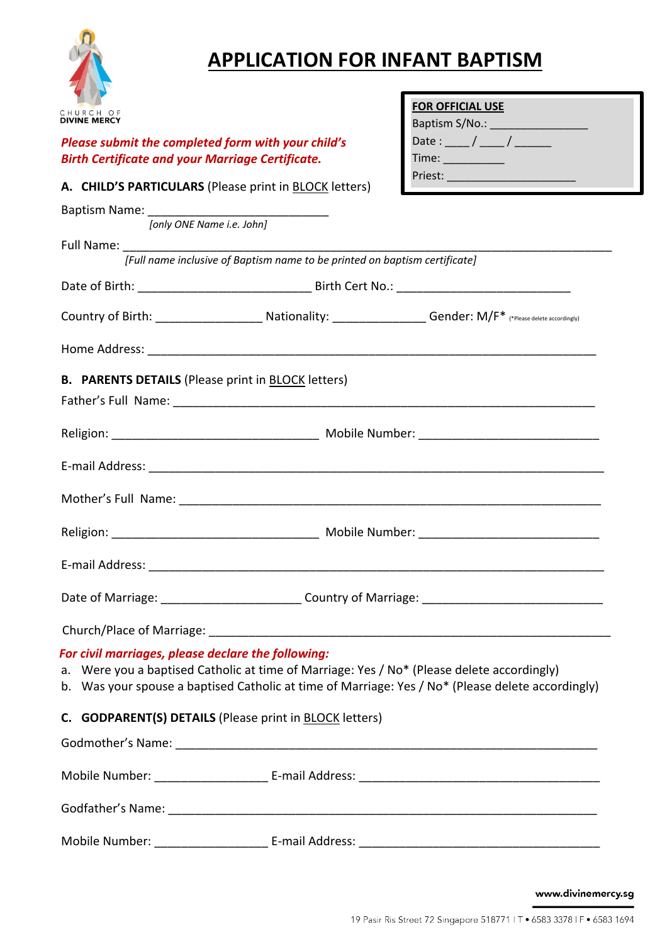

## **APPLICATION FOR INFANT BAPTISM**

| CHURCH OF<br>IVINE MERCY                                                                                      |                                                                                            | <b>FOR OFFICIAL USE</b><br>Baptism S/No.: _________________                                                            |  |
|---------------------------------------------------------------------------------------------------------------|--------------------------------------------------------------------------------------------|------------------------------------------------------------------------------------------------------------------------|--|
| Please submit the completed form with your child's<br><b>Birth Certificate and your Marriage Certificate.</b> |                                                                                            | Date : ____ / ____ / _________<br>Time: ___________                                                                    |  |
|                                                                                                               | A. CHILD'S PARTICULARS (Please print in BLOCK letters)                                     |                                                                                                                        |  |
|                                                                                                               | [only ONE Name i.e. John]                                                                  |                                                                                                                        |  |
|                                                                                                               |                                                                                            |                                                                                                                        |  |
|                                                                                                               | [Full name inclusive of Baptism name to be printed on baptism certificate]                 |                                                                                                                        |  |
|                                                                                                               |                                                                                            |                                                                                                                        |  |
|                                                                                                               |                                                                                            | Country of Birth: ____________________________Nationality: __________________Gender: M/F* (*Please delete accordingly) |  |
|                                                                                                               |                                                                                            |                                                                                                                        |  |
|                                                                                                               |                                                                                            |                                                                                                                        |  |
|                                                                                                               |                                                                                            |                                                                                                                        |  |
|                                                                                                               |                                                                                            |                                                                                                                        |  |
|                                                                                                               |                                                                                            |                                                                                                                        |  |
|                                                                                                               |                                                                                            |                                                                                                                        |  |
|                                                                                                               |                                                                                            |                                                                                                                        |  |
|                                                                                                               |                                                                                            |                                                                                                                        |  |
| For civil marriages, please declare the following:                                                            | a. Were you a baptised Catholic at time of Marriage: Yes / No* (Please delete accordingly) | b. Was your spouse a baptised Catholic at time of Marriage: Yes / No* (Please delete accordingly)                      |  |
|                                                                                                               | C. GODPARENT(S) DETAILS (Please print in BLOCK letters)                                    |                                                                                                                        |  |
|                                                                                                               |                                                                                            |                                                                                                                        |  |
|                                                                                                               |                                                                                            |                                                                                                                        |  |
|                                                                                                               |                                                                                            |                                                                                                                        |  |
|                                                                                                               |                                                                                            |                                                                                                                        |  |

www.divinemercy.sg